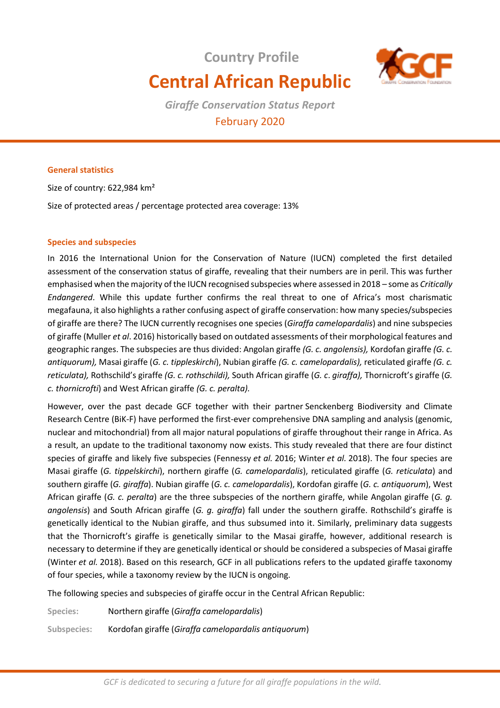# **Country Profile Central African Republic**



*Giraffe Conservation Status Report*  February 2020

# **General statistics**

Size of country: 622,984 km²

Size of protected areas / percentage protected area coverage: 13%

#### **Species and subspecies**

In 2016 the International Union for the Conservation of Nature (IUCN) completed the first detailed assessment of the conservation status of giraffe, revealing that their numbers are in peril. This was further emphasised when the majority of the IUCN recognised subspecies where assessed in 2018 – some as *Critically Endangered*. While this update further confirms the real threat to one of Africa's most charismatic megafauna, it also highlights a rather confusing aspect of giraffe conservation: how many species/subspecies of giraffe are there? The IUCN currently recognises one species (*Giraffa camelopardalis*) and nine subspecies of giraffe (Muller *et al*. 2016) historically based on outdated assessments of their morphological features and geographic ranges. The subspecies are thus divided: Angolan giraffe *(G. c. angolensis),* Kordofan giraffe *(G. c. antiquorum),* Masai giraffe (*G. c. tippleskirchi*), Nubian giraffe *(G. c. camelopardalis),* reticulated giraffe *(G. c. reticulata),* Rothschild's giraffe *(G. c. rothschildi),* South African giraffe (*G. c*. *giraffa),* Thornicroft's giraffe (*G. c. thornicrofti*) and West African giraffe *(G. c. peralta).* 

However, over the past decade GCF together with their partner Senckenberg Biodiversity and Climate Research Centre (BiK-F) have performed the first-ever comprehensive DNA sampling and analysis (genomic, nuclear and mitochondrial) from all major natural populations of giraffe throughout their range in Africa. As a result, an update to the traditional taxonomy now exists. This study revealed that there are four distinct species of giraffe and likely five subspecies (Fennessy *et al.* 2016; Winter *et al.* 2018). The four species are Masai giraffe (*G. tippelskirchi*), northern giraffe (*G. camelopardalis*), reticulated giraffe (*G. reticulata*) and southern giraffe (*G. giraffa*). Nubian giraffe (*G. c. camelopardalis*), Kordofan giraffe (*G. c. antiquorum*), West African giraffe (*G. c. peralta*) are the three subspecies of the northern giraffe, while Angolan giraffe (*G. g. angolensis*) and South African giraffe (*G. g. giraffa*) fall under the southern giraffe. Rothschild's giraffe is genetically identical to the Nubian giraffe, and thus subsumed into it. Similarly, preliminary data suggests that the Thornicroft's giraffe is genetically similar to the Masai giraffe, however, additional research is necessary to determine if they are genetically identical or should be considered a subspecies of Masai giraffe (Winter *et al.* 2018). Based on this research, GCF in all publications refers to the updated giraffe taxonomy of four species, while a taxonomy review by the IUCN is ongoing.

The following species and subspecies of giraffe occur in the Central African Republic:

**Species:** Northern giraffe (*Giraffa camelopardalis*)

**Subspecies:** Kordofan giraffe (*Giraffa camelopardalis antiquorum*)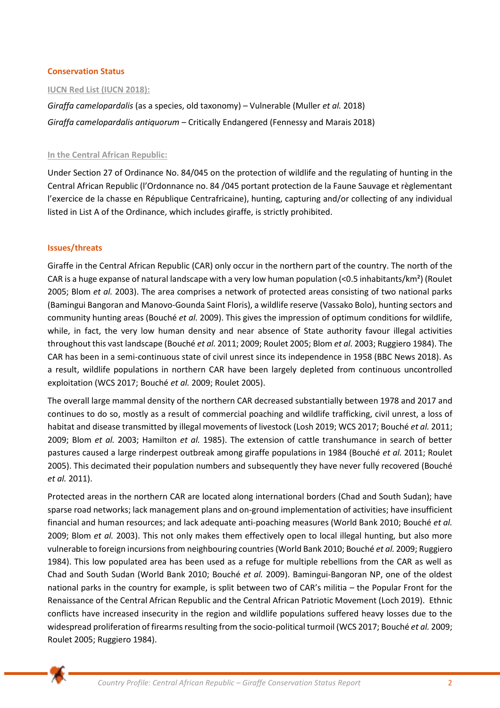#### **Conservation Status**

#### **IUCN Red List (IUCN 2018):**

*Giraffa camelopardalis* (as a species, old taxonomy) – Vulnerable (Muller *et al.* 2018) *Giraffa camelopardalis antiquorum* – Critically Endangered (Fennessy and Marais 2018)

#### **In the Central African Republic:**

Under Section 27 of Ordinance No. 84/045 on the protection of wildlife and the regulating of hunting in the Central African Republic (l'Ordonnance no. 84 /045 portant protection de la Faune Sauvage et règlementant l'exercice de la chasse en République Centrafricaine), hunting, capturing and/or collecting of any individual listed in List A of the Ordinance, which includes giraffe, is strictly prohibited.

#### **Issues/threats**

Giraffe in the Central African Republic (CAR) only occur in the northern part of the country. The north of the CAR is a huge expanse of natural landscape with a very low human population (<0.5 inhabitants/km<sup>2</sup>) (Roulet 2005; Blom *et al.* 2003). The area comprises a network of protected areas consisting of two national parks (Bamingui Bangoran and Manovo-Gounda Saint Floris), a wildlife reserve (Vassako Bolo), hunting sectors and community hunting areas (Bouché *et al.* 2009). This gives the impression of optimum conditions for wildlife, while, in fact, the very low human density and near absence of State authority favour illegal activities throughout this vast landscape (Bouché *et al.* 2011; 2009; Roulet 2005; Blom *et al.* 2003; Ruggiero 1984). The CAR has been in a semi-continuous state of civil unrest since its independence in 1958 (BBC News 2018). As a result, wildlife populations in northern CAR have been largely depleted from continuous uncontrolled exploitation (WCS 2017; Bouché *et al.* 2009; Roulet 2005).

The overall large mammal density of the northern CAR decreased substantially between 1978 and 2017 and continues to do so, mostly as a result of commercial poaching and wildlife trafficking, civil unrest, a loss of habitat and disease transmitted by illegal movements of livestock (Losh 2019; WCS 2017; Bouché *et al.* 2011; 2009; Blom *et al.* 2003; Hamilton *et al.* 1985). The extension of cattle transhumance in search of better pastures caused a large rinderpest outbreak among giraffe populations in 1984 (Bouché *et al.* 2011; Roulet 2005). This decimated their population numbers and subsequently they have never fully recovered (Bouché *et al.* 2011).

Protected areas in the northern CAR are located along international borders (Chad and South Sudan); have sparse road networks; lack management plans and on-ground implementation of activities; have insufficient financial and human resources; and lack adequate anti-poaching measures (World Bank 2010; Bouché *et al.* 2009; Blom *et al.* 2003). This not only makes them effectively open to local illegal hunting, but also more vulnerable to foreign incursions from neighbouring countries (World Bank 2010; Bouché *et al.* 2009; Ruggiero 1984). This low populated area has been used as a refuge for multiple rebellions from the CAR as well as Chad and South Sudan (World Bank 2010; Bouché *et al.* 2009). Bamingui-Bangoran NP, one of the oldest national parks in the country for example, is split between two of CAR's militia – the Popular Front for the Renaissance of the Central African Republic and the Central African Patriotic Movement (Loch 2019). Ethnic conflicts have increased insecurity in the region and wildlife populations suffered heavy losses due to the widespread proliferation of firearms resulting from the socio-political turmoil (WCS 2017; Bouché *et al.* 2009; Roulet 2005; Ruggiero 1984).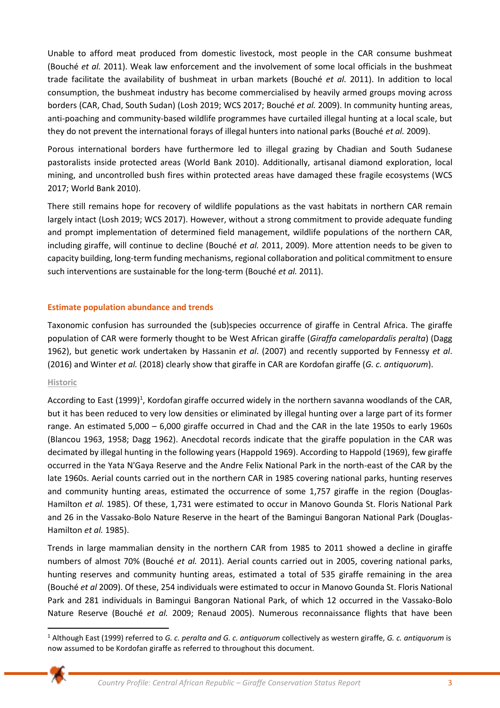Unable to afford meat produced from domestic livestock, most people in the CAR consume bushmeat (Bouché *et al.* 2011). Weak law enforcement and the involvement of some local officials in the bushmeat trade facilitate the availability of bushmeat in urban markets (Bouché *et al.* 2011). In addition to local consumption, the bushmeat industry has become commercialised by heavily armed groups moving across borders (CAR, Chad, South Sudan) (Losh 2019; WCS 2017; Bouché *et al.* 2009). In community hunting areas, anti-poaching and community-based wildlife programmes have curtailed illegal hunting at a local scale, but they do not prevent the international forays of illegal hunters into national parks (Bouché *et al.* 2009).

Porous international borders have furthermore led to illegal grazing by Chadian and South Sudanese pastoralists inside protected areas (World Bank 2010). Additionally, artisanal diamond exploration, local mining, and uncontrolled bush fires within protected areas have damaged these fragile ecosystems (WCS 2017; World Bank 2010).

There still remains hope for recovery of wildlife populations as the vast habitats in northern CAR remain largely intact (Losh 2019; WCS 2017). However, without a strong commitment to provide adequate funding and prompt implementation of determined field management, wildlife populations of the northern CAR, including giraffe, will continue to decline (Bouché *et al.* 2011, 2009). More attention needs to be given to capacity building, long-term funding mechanisms, regional collaboration and political commitment to ensure such interventions are sustainable for the long-term (Bouché *et al.* 2011).

# **Estimate population abundance and trends**

Taxonomic confusion has surrounded the (sub)species occurrence of giraffe in Central Africa. The giraffe population of CAR were formerly thought to be West African giraffe (*Giraffa camelopardalis peralta*) (Dagg 1962), but genetic work undertaken by Hassanin *et al*. (2007) and recently supported by Fennessy *et al*. (2016) and Winter *et al.* (2018) clearly show that giraffe in CAR are Kordofan giraffe (*G. c. antiquorum*).

# **Historic**

According to East (1999)<sup>1</sup>, Kordofan giraffe occurred widely in the northern savanna woodlands of the CAR, but it has been reduced to very low densities or eliminated by illegal hunting over a large part of its former range. An estimated 5,000 – 6,000 giraffe occurred in Chad and the CAR in the late 1950s to early 1960s (Blancou 1963, 1958; Dagg 1962). Anecdotal records indicate that the giraffe population in the CAR was decimated by illegal hunting in the following years (Happold 1969). According to Happold (1969), few giraffe occurred in the Yata N'Gaya Reserve and the Andre Felix National Park in the north-east of the CAR by the late 1960s. Aerial counts carried out in the northern CAR in 1985 covering national parks, hunting reserves and community hunting areas, estimated the occurrence of some 1,757 giraffe in the region (Douglas-Hamilton *et al.* 1985). Of these, 1,731 were estimated to occur in Manovo Gounda St. Floris National Park and 26 in the Vassako-Bolo Nature Reserve in the heart of the Bamingui Bangoran National Park (Douglas-Hamilton *et al.* 1985).

Trends in large mammalian density in the northern CAR from 1985 to 2011 showed a decline in giraffe numbers of almost 70% (Bouché *et al.* 2011). Aerial counts carried out in 2005, covering national parks, hunting reserves and community hunting areas, estimated a total of 535 giraffe remaining in the area (Bouché *et al* 2009). Of these, 254 individuals were estimated to occur in Manovo Gounda St. Floris National Park and 281 individuals in Bamingui Bangoran National Park, of which 12 occurred in the Vassako-Bolo Nature Reserve (Bouché *et al.* 2009; Renaud 2005). Numerous reconnaissance flights that have been

<sup>1</sup> Although East (1999) referred to *G. c. peralta and G. c. antiquorum* collectively as western giraffe, *G. c. antiquorum* is now assumed to be Kordofan giraffe as referred to throughout this document.

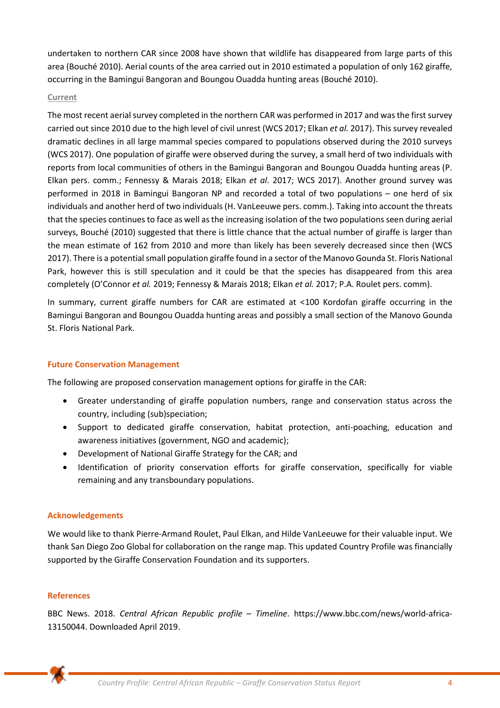undertaken to northern CAR since 2008 have shown that wildlife has disappeared from large parts of this area (Bouché 2010). Aerial counts of the area carried out in 2010 estimated a population of only 162 giraffe, occurring in the Bamingui Bangoran and Boungou Ouadda hunting areas (Bouché 2010).

#### **Current**

The most recent aerial survey completed in the northern CAR was performed in 2017 and was the first survey carried out since 2010 due to the high level of civil unrest (WCS 2017; Elkan *et al.* 2017). This survey revealed dramatic declines in all large mammal species compared to populations observed during the 2010 surveys (WCS 2017). One population of giraffe were observed during the survey, a small herd of two individuals with reports from local communities of others in the Bamingui Bangoran and Boungou Ouadda hunting areas (P. Elkan pers. comm.; Fennessy & Marais 2018; Elkan *et al*. 2017; WCS 2017). Another ground survey was performed in 2018 in Bamingui Bangoran NP and recorded a total of two populations – one herd of six individuals and another herd of two individuals (H. VanLeeuwe pers. comm.). Taking into account the threats that the species continues to face as well as the increasing isolation of the two populations seen during aerial surveys, Bouché (2010) suggested that there is little chance that the actual number of giraffe is larger than the mean estimate of 162 from 2010 and more than likely has been severely decreased since then (WCS 2017). There is a potential small population giraffe found in a sector of the Manovo Gounda St. Floris National Park, however this is still speculation and it could be that the species has disappeared from this area completely (O'Connor *et al.* 2019; Fennessy & Marais 2018; Elkan *et al.* 2017; P.A. Roulet pers. comm).

In summary, current giraffe numbers for CAR are estimated at <100 Kordofan giraffe occurring in the Bamingui Bangoran and Boungou Ouadda hunting areas and possibly a small section of the Manovo Gounda St. Floris National Park.

# **Future Conservation Management**

The following are proposed conservation management options for giraffe in the CAR:

- Greater understanding of giraffe population numbers, range and conservation status across the country, including (sub)speciation;
- Support to dedicated giraffe conservation, habitat protection, anti-poaching, education and awareness initiatives (government, NGO and academic);
- Development of National Giraffe Strategy for the CAR; and
- Identification of priority conservation efforts for giraffe conservation, specifically for viable remaining and any transboundary populations.

# **Acknowledgements**

We would like to thank Pierre-Armand Roulet, Paul Elkan, and Hilde VanLeeuwe for their valuable input. We thank San Diego Zoo Global for collaboration on the range map. This updated Country Profile was financially supported by the Giraffe Conservation Foundation and its supporters.

# **References**

BBC News. 2018. *Central African Republic profile – Timeline*. [https://www.bbc.com/news/world-africa-](https://www.bbc.com/news/world-africa-13150044)[13150044.](https://www.bbc.com/news/world-africa-13150044) Downloaded April 2019.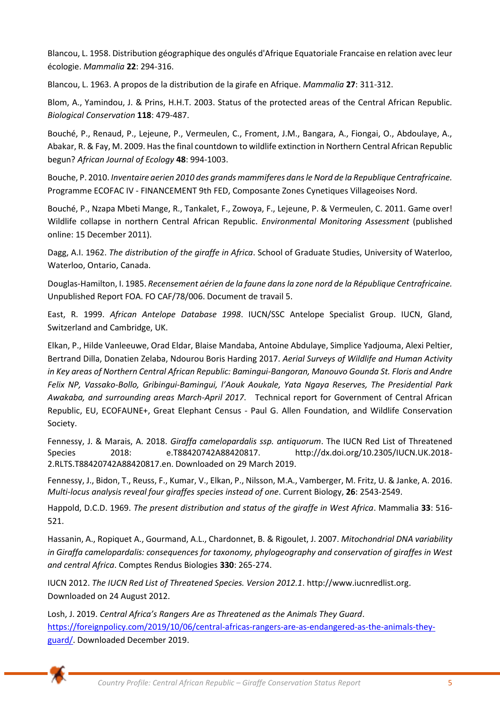Blancou, L. 1958. Distribution géographique des ongulés d'Afrique Equatoriale Francaise en relation avec leur écologie. *Mammalia* **22**: 294-316.

Blancou, L. 1963. A propos de la distribution de la girafe en Afrique. *Mammalia* **27**: 311-312.

Blom, A., Yamindou, J. & Prins, H.H.T. 2003. Status of the protected areas of the Central African Republic. *Biological Conservation* **118**: 479-487.

Bouché, P., Renaud, P., Lejeune, P., Vermeulen, C., Froment, J.M., Bangara, A., Fiongai, O., Abdoulaye, A., Abakar, R. & Fay, M. 2009. Has the final countdown to wildlife extinction in Northern Central African Republic begun? *African Journal of Ecology* **48**: 994-1003.

Bouche, P. 2010. *Inventaire aerien 2010 des grands mammiferes dans le Nord de la Republique Centrafricaine.*  Programme ECOFAC IV - FINANCEMENT 9th FED, Composante Zones Cynetiques Villageoises Nord.

Bouché, P., Nzapa Mbeti Mange, R., Tankalet, F., Zowoya, F., Lejeune, P. & Vermeulen, C. 2011. Game over! Wildlife collapse in northern Central African Republic. *Environmental Monitoring Assessment* (published online: 15 December 2011).

Dagg, A.I. 1962. *The distribution of the giraffe in Africa*. School of Graduate Studies, University of Waterloo, Waterloo, Ontario, Canada.

Douglas-Hamilton, I. 1985. *Recensement aérien de la faune dans la zone nord de la République Centrafricaine.* Unpublished Report FOA. FO CAF/78/006. Document de travail 5.

East, R. 1999. *African Antelope Database 1998*. IUCN/SSC Antelope Specialist Group. IUCN, Gland, Switzerland and Cambridge, UK.

Elkan, P., Hilde Vanleeuwe, Orad Eldar, Blaise Mandaba, Antoine Abdulaye, Simplice Yadjouma, Alexi Peltier, Bertrand Dilla, Donatien Zelaba, Ndourou Boris Harding 2017. *Aerial Surveys of Wildlife and Human Activity in Key areas of Northern Central African Republic: Bamingui-Bangoran, Manouvo Gounda St. Floris and Andre Felix NP, Vassako-Bollo, Gribingui-Bamingui, l'Aouk Aoukale, Yata Ngaya Reserves, The Presidential Park Awakaba, and surrounding areas March-April 2017*. Technical report for Government of Central African Republic, EU, ECOFAUNE+, Great Elephant Census - Paul G. Allen Foundation, and Wildlife Conservation Society.

Fennessy, J. & Marais, A. 2018. *Giraffa camelopardalis ssp. antiquorum*. The IUCN Red List of Threatened Species 2018: e.T88420742A88420817. http://dx.doi.org/10.2305/IUCN.UK.2018- 2.RLTS.T88420742A88420817.en. Downloaded on 29 March 2019.

Fennessy, J., Bidon, T., Reuss, F., Kumar, V., Elkan, P., Nilsson, M.A., Vamberger, M. Fritz, U. & Janke, A. 2016. *Multi-locus analysis reveal four giraffes species instead of one*. Current Biology, **26**: 2543-2549.

Happold, D.C.D. 1969. *The present distribution and status of the giraffe in West Africa*. Mammalia **33**: 516- 521.

Hassanin, A., Ropiquet A., Gourmand, A.L., Chardonnet, B. & Rigoulet, J. 2007. *Mitochondrial DNA variability in Giraffa camelopardalis: consequences for taxonomy, phylogeography and conservation of giraffes in West and central Africa*. Comptes Rendus Biologies **330**: 265-274.

IUCN 2012. *The IUCN Red List of Threatened Species. Version 2012.1*. http://www.iucnredlist.org. Downloaded on 24 August 2012.

Losh, J. 2019. *Central Africa's Rangers Are as Threatened as the Animals They Guard*. [https://foreignpolicy.com/2019/10/06/central-africas-rangers-are-as-endangered-as-the-animals-they](https://foreignpolicy.com/2019/10/06/central-africas-rangers-are-as-endangered-as-the-animals-they-guard/)[guard/.](https://foreignpolicy.com/2019/10/06/central-africas-rangers-are-as-endangered-as-the-animals-they-guard/) Downloaded December 2019.

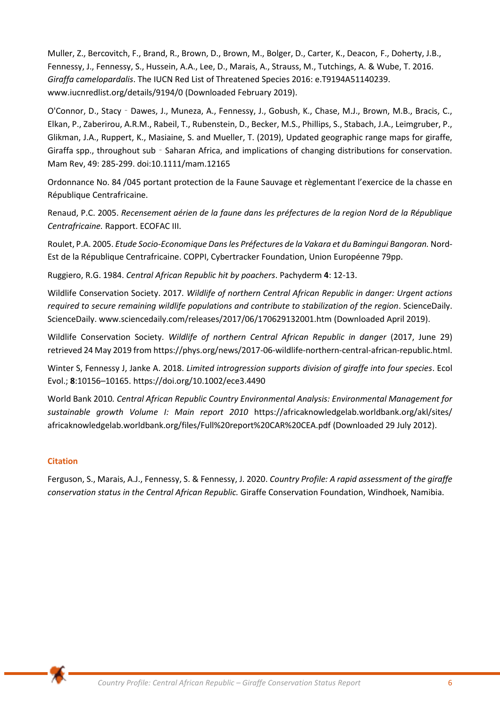Muller, Z., Bercovitch, F., Brand, R., Brown, D., Brown, M., Bolger, D., Carter, K., Deacon, F., Doherty, J.B., Fennessy, J., Fennessy, S., Hussein, A.A., Lee, D., Marais, A., Strauss, M., Tutchings, A. & Wube, T. 2016. *Giraffa camelopardalis*. The IUCN Red List of Threatened Species 2016: e.T9194A51140239. www.iucnredlist.org/details/9194/0 (Downloaded February 2019).

O'Connor, D., Stacy‐Dawes, J., Muneza, A., Fennessy, J., Gobush, K., Chase, M.J., Brown, M.B., Bracis, C., Elkan, P., Zaberirou, A.R.M., Rabeil, T., Rubenstein, D., Becker, M.S., Phillips, S., Stabach, J.A., Leimgruber, P., Glikman, J.A., Ruppert, K., Masiaine, S. and Mueller, T. (2019), Updated geographic range maps for giraffe, Giraffa spp., throughout sub - Saharan Africa, and implications of changing distributions for conservation. Mam Rev, 49: 285-299. doi:10.1111/mam.12165

Ordonnance No. 84 /045 portant protection de la Faune Sauvage et règlementant l'exercice de la chasse en République Centrafricaine.

Renaud, P.C. 2005. *Recensement aérien de la faune dans les préfectures de la region Nord de la République Centrafricaine.* Rapport. ECOFAC III.

Roulet, P.A. 2005. *Etude Socio-Economique Dans les Préfectures de la Vakara et du Bamingui Bangoran.* Nord-Est de la République Centrafricaine. COPPI, Cybertracker Foundation, Union Européenne 79pp.

Ruggiero, R.G. 1984. *Central African Republic hit by poachers*. Pachyderm **4**: 12-13.

Wildlife Conservation Society. 2017*. Wildlife of northern Central African Republic in danger: Urgent actions required to secure remaining wildlife populations and contribute to stabilization of the region*. ScienceDaily. ScienceDaily[. www.sciencedaily.com/releases/2017/06/170629132001.htm](http://www.sciencedaily.com/releases/2017/06/170629132001.htm) (Downloaded April 2019).

Wildlife Conservation Society. *Wildlife of northern Central African Republic in danger* (2017, June 29) retrieved 24 May 2019 fro[m https://phys.org/news/2017-06-wildlife-northern-central-african-republic.html.](https://phys.org/news/2017-06-wildlife-northern-central-african-republic.html)

Winter S, Fennessy J, Janke A. 2018. *Limited introgression supports division of giraffe into four species*. Ecol Evol.; **8**:10156–10165. https://doi.org/10.1002/ece3.4490

World Bank 2010*. Central African Republic Country Environmental Analysis: Environmental Management for sustainable growth Volume I: Main report 2010* https://africaknowledgelab.worldbank.org/akl/sites/ africaknowledgelab.worldbank.org/files/Full%20report%20CAR%20CEA.pdf (Downloaded 29 July 2012).

# **Citation**

Ferguson, S., Marais, A.J., Fennessy, S. & Fennessy, J. 2020. *Country Profile: A rapid assessment of the giraffe conservation status in the Central African Republic.* Giraffe Conservation Foundation, Windhoek, Namibia.